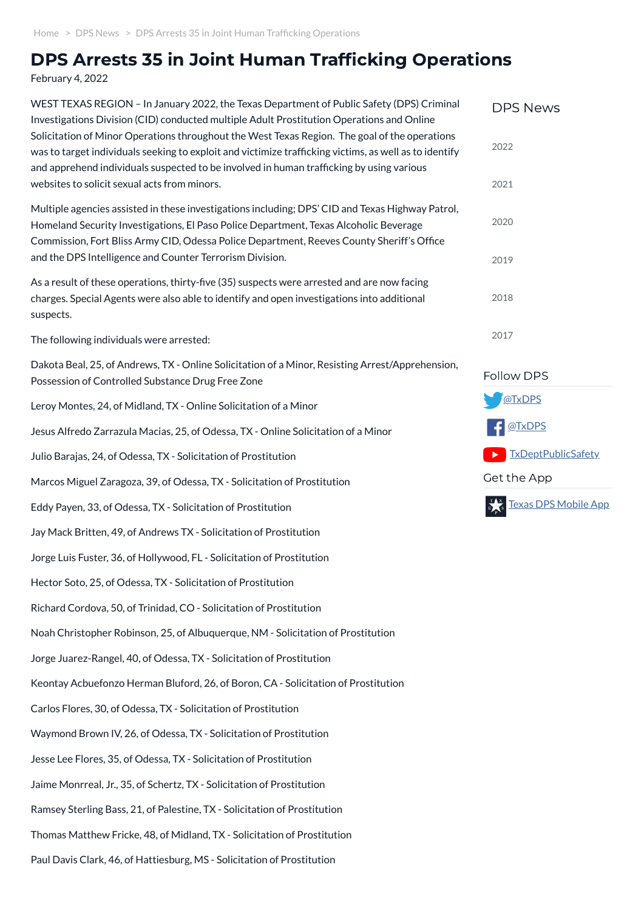## DPS Arrests 35 in Joint Human Trafficking Operations

February 4, 2022

| WEST TEXAS REGION - In January 2022, the Texas Department of Public Safety (DPS) Criminal<br>Investigations Division (CID) conducted multiple Adult Prostitution Operations and Online                                                                                                              | <b>DPS News</b>             |
|-----------------------------------------------------------------------------------------------------------------------------------------------------------------------------------------------------------------------------------------------------------------------------------------------------|-----------------------------|
| Solicitation of Minor Operations throughout the West Texas Region. The goal of the operations<br>was to target individuals seeking to exploit and victimize trafficking victims, as well as to identify<br>and apprehend individuals suspected to be involved in human trafficking by using various | 2022                        |
| websites to solicit sexual acts from minors.                                                                                                                                                                                                                                                        | 2021                        |
| Multiple agencies assisted in these investigations including; DPS' CID and Texas Highway Patrol,<br>Homeland Security Investigations, El Paso Police Department, Texas Alcoholic Beverage<br>Commission, Fort Bliss Army CID, Odessa Police Department, Reeves County Sheriff's Office              | 2020                        |
| and the DPS Intelligence and Counter Terrorism Division.                                                                                                                                                                                                                                            | 2019                        |
| As a result of these operations, thirty-five (35) suspects were arrested and are now facing<br>charges. Special Agents were also able to identify and open investigations into additional<br>suspects.                                                                                              | 2018                        |
| The following individuals were arrested:                                                                                                                                                                                                                                                            | 2017                        |
| Dakota Beal, 25, of Andrews, TX - Online Solicitation of a Minor, Resisting Arrest/Apprehension,<br>Possession of Controlled Substance Drug Free Zone                                                                                                                                               | Follow DPS                  |
| Leroy Montes, 24, of Midland, TX - Online Solicitation of a Minor                                                                                                                                                                                                                                   | @TxDPS                      |
| Jesus Alfredo Zarrazula Macias, 25, of Odessa, TX - Online Solicitation of a Minor                                                                                                                                                                                                                  | @TxDPS                      |
| Julio Barajas, 24, of Odessa, TX - Solicitation of Prostitution                                                                                                                                                                                                                                     | <b>TxDeptPublicSafety</b>   |
| Marcos Miguel Zaragoza, 39, of Odessa, TX - Solicitation of Prostitution                                                                                                                                                                                                                            | Get the App                 |
| Eddy Payen, 33, of Odessa, TX - Solicitation of Prostitution                                                                                                                                                                                                                                        | <u>Texas DPS Mobile App</u> |
| Jay Mack Britten, 49, of Andrews TX - Solicitation of Prostitution                                                                                                                                                                                                                                  |                             |
| Jorge Luis Fuster, 36, of Hollywood, FL - Solicitation of Prostitution                                                                                                                                                                                                                              |                             |
| Hector Soto, 25, of Odessa, TX - Solicitation of Prostitution                                                                                                                                                                                                                                       |                             |
| Richard Cordova, 50, of Trinidad, CO - Solicitation of Prostitution                                                                                                                                                                                                                                 |                             |
| Noah Christopher Robinson, 25, of Albuquerque, NM - Solicitation of Prostitution                                                                                                                                                                                                                    |                             |
| Jorge Juarez-Rangel, 40, of Odessa, TX - Solicitation of Prostitution                                                                                                                                                                                                                               |                             |
|                                                                                                                                                                                                                                                                                                     |                             |

Keontay Acbuefonzo Herman Bluford, 26, of Boron, CA - Solicitation of Prostitution

Carlos Flores, 30, of Odessa, TX - Solicitation of Prostitution

Waymond Brown IV, 26, of Odessa, TX - Solicitation of Prostitution

Jesse Lee Flores, 35, of Odessa, TX - Solicitation of Prostitution

Jaime Monrreal, Jr., 35, of Schertz, TX - Solicitation of Prostitution

Ramsey Sterling Bass, 21, of Palestine, TX - Solicitation of Prostitution

Thomas Matthew Fricke, 48, of Midland, TX - Solicitation of Prostitution

Paul Davis Clark, 46, of Hattiesburg, MS - Solicitation of Prostitution